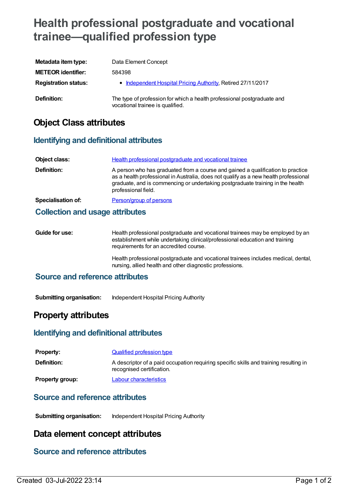# **Health professional postgraduate and vocational trainee—qualified profession type**

| Metadata item type:         | Data Element Concept                                                                                        |
|-----------------------------|-------------------------------------------------------------------------------------------------------------|
| <b>METEOR identifier:</b>   | 584398                                                                                                      |
| <b>Registration status:</b> | • Independent Hospital Pricing Authority, Retired 27/11/2017                                                |
| Definition:                 | The type of profession for which a health professional postgraduate and<br>vocational trainee is qualified. |

# **Object Class attributes**

# **Identifying and definitional attributes**

| Object class:             | Health professional postgraduate and vocational trainee                                                                                                                                                                                                                          |
|---------------------------|----------------------------------------------------------------------------------------------------------------------------------------------------------------------------------------------------------------------------------------------------------------------------------|
| Definition:               | A person who has graduated from a course and gained a qualification to practice<br>as a health professional in Australia, does not qualify as a new health professional<br>graduate, and is commencing or undertaking postgraduate training in the health<br>professional field. |
| <b>Specialisation of:</b> | Person/group of persons                                                                                                                                                                                                                                                          |

#### **Collection and usage attributes**

| Guide for use: | Health professional postgraduate and vocational trainees may be employed by an<br>establishment while undertaking clinical/professional education and training<br>requirements for an accredited course. |
|----------------|----------------------------------------------------------------------------------------------------------------------------------------------------------------------------------------------------------|
|                | Health professional postgraduate and vocational trainees includes medical, dental,                                                                                                                       |

nursing, allied health and other diagnostic professions.

### **Source and reference attributes**

**Submitting organisation:** Independent Hospital Pricing Authority

# **Property attributes**

#### **Identifying and definitional attributes**

| <b>Property:</b>       | <b>Qualified profession type</b>                                                                                   |
|------------------------|--------------------------------------------------------------------------------------------------------------------|
| <b>Definition:</b>     | A descriptor of a paid occupation requiring specific skills and training resulting in<br>recognised certification. |
| <b>Property group:</b> | Labour characteristics                                                                                             |

#### **Source and reference attributes**

**Submitting organisation:** Independent Hospital Pricing Authority

# **Data element concept attributes**

# **Source and reference attributes**